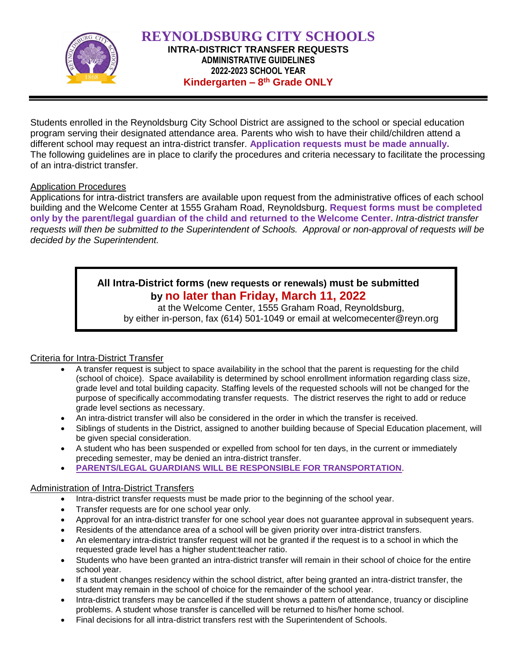

Students enrolled in the Reynoldsburg City School District are assigned to the school or special education program serving their designated attendance area. Parents who wish to have their child/children attend a different school may request an intra-district transfer. **Application requests must be made annually.** The following guidelines are in place to clarify the procedures and criteria necessary to facilitate the processing of an intra-district transfer.

## Application Procedures

Applications for intra-district transfers are available upon request from the administrative offices of each school building and the Welcome Center at 1555 Graham Road, Reynoldsburg. **Request forms must be completed only by the parent/legal guardian of the child and returned to the Welcome Center.** *Intra-district transfer requests will then be submitted to the Superintendent of Schools. Approval or non-approval of requests will be decided by the Superintendent.*

## **All Intra-District forms (new requests or renewals) must be submitted by no later than Friday, March 11, 2022**

at the Welcome Center, 1555 Graham Road, Reynoldsburg, by either in-person, fax (614) 501-1049 or email at [welcomecenter@reyn.org](mailto:welcomecenter@reyn.org)

## Criteria for Intra-District Transfer

- A transfer request is subject to space availability in the school that the parent is requesting for the child (school of choice). Space availability is determined by school enrollment information regarding class size, grade level and total building capacity. Staffing levels of the requested schools will not be changed for the purpose of specifically accommodating transfer requests. The district reserves the right to add or reduce grade level sections as necessary.
- An intra-district transfer will also be considered in the order in which the transfer is received.
- Siblings of students in the District, assigned to another building because of Special Education placement, will be given special consideration.
- A student who has been suspended or expelled from school for ten days, in the current or immediately preceding semester, may be denied an intra-district transfer.
- **PARENTS/LEGAL GUARDIANS WILL BE RESPONSIBLE FOR TRANSPORTATION**.

## Administration of Intra-District Transfers

- Intra-district transfer requests must be made prior to the beginning of the school year.
- Transfer requests are for one school year only.
- Approval for an intra-district transfer for one school year does not guarantee approval in subsequent years.
- Residents of the attendance area of a school will be given priority over intra-district transfers.
- An elementary intra-district transfer request will not be granted if the request is to a school in which the requested grade level has a higher student:teacher ratio.
- Students who have been granted an intra-district transfer will remain in their school of choice for the entire school year.
- If a student changes residency within the school district, after being granted an intra-district transfer, the student may remain in the school of choice for the remainder of the school year.
- Intra-district transfers may be cancelled if the student shows a pattern of attendance, truancy or discipline problems. A student whose transfer is cancelled will be returned to his/her home school.
- Final decisions for all intra-district transfers rest with the Superintendent of Schools.